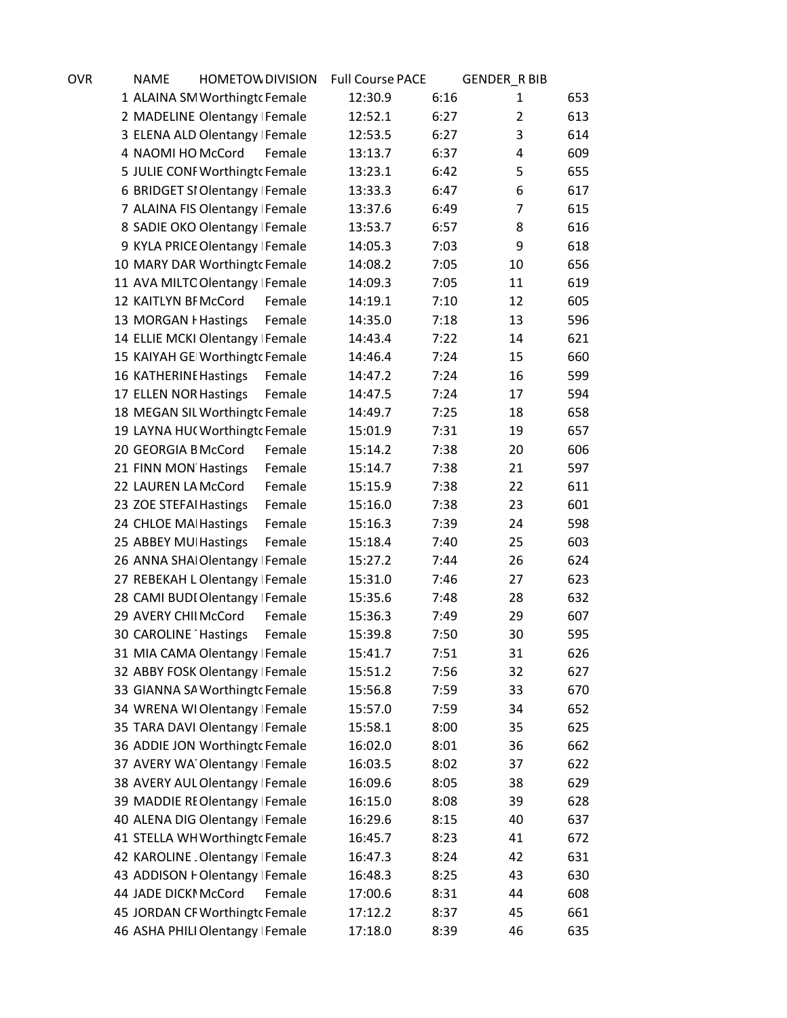| OVR | <b>NAME</b>            | <b>HOMETOW DIVISION</b>          |        | <b>Full Course PACE</b> |      | <b>GENDER_R BIB</b> |     |
|-----|------------------------|----------------------------------|--------|-------------------------|------|---------------------|-----|
|     |                        | 1 ALAINA SM Worthingt Female     |        | 12:30.9                 | 6:16 | 1                   | 653 |
|     |                        | 2 MADELINE Olentangy Female      |        | 12:52.1                 | 6:27 | $\overline{2}$      | 613 |
|     |                        | 3 ELENA ALD Olentangy Female     |        | 12:53.5                 | 6:27 | 3                   | 614 |
|     | 4 NAOMI HO McCord      |                                  | Female | 13:13.7                 | 6:37 | 4                   | 609 |
|     |                        | 5 JULIE CONF Worthingt cFemale   |        | 13:23.1                 | 6:42 | 5                   | 655 |
|     |                        | 6 BRIDGET SI Olentangy Female    |        | 13:33.3                 | 6:47 | 6                   | 617 |
|     |                        | 7 ALAINA FIS Olentangy Female    |        | 13:37.6                 | 6:49 | $\overline{7}$      | 615 |
|     |                        | 8 SADIE OKO Olentangy Female     |        | 13:53.7                 | 6:57 | 8                   | 616 |
|     |                        | 9 KYLA PRICE Olentangy   Female  |        | 14:05.3                 | 7:03 | 9                   | 618 |
|     |                        | 10 MARY DAR Worthingt Female     |        | 14:08.2                 | 7:05 | 10                  | 656 |
|     |                        | 11 AVA MILTC Olentangy Female    |        | 14:09.3                 | 7:05 | 11                  | 619 |
|     | 12 KAITLYN BI McCord   |                                  | Female | 14:19.1                 | 7:10 | 12                  | 605 |
|     | 13 MORGAN I Hastings   |                                  | Female | 14:35.0                 | 7:18 | 13                  | 596 |
|     |                        | 14 ELLIE MCKI Olentangy   Female |        | 14:43.4                 | 7:22 | 14                  | 621 |
|     |                        | 15 KAIYAH GE Worthingt Female    |        | 14:46.4                 | 7:24 | 15                  | 660 |
|     | 16 KATHERINE Hastings  |                                  | Female | 14:47.2                 | 7:24 | 16                  | 599 |
|     | 17 ELLEN NOR Hastings  |                                  | Female | 14:47.5                 | 7:24 | 17                  | 594 |
|     |                        | 18 MEGAN SIL Worthingt Female    |        | 14:49.7                 | 7:25 | 18                  | 658 |
|     |                        | 19 LAYNA HUC Worthingtc Female   |        | 15:01.9                 | 7:31 | 19                  | 657 |
|     | 20 GEORGIA B McCord    |                                  | Female | 15:14.2                 | 7:38 | 20                  | 606 |
|     | 21 FINN MON Hastings   |                                  | Female | 15:14.7                 | 7:38 | 21                  | 597 |
|     | 22 LAUREN LA McCord    |                                  | Female | 15:15.9                 | 7:38 | 22                  | 611 |
|     | 23 ZOE STEFAI Hastings |                                  | Female | 15:16.0                 | 7:38 | 23                  | 601 |
|     | 24 CHLOE MAI Hastings  |                                  | Female | 15:16.3                 | 7:39 | 24                  | 598 |
|     | 25 ABBEY MUI Hastings  |                                  | Female | 15:18.4                 | 7:40 | 25                  | 603 |
|     |                        | 26 ANNA SHAI Olentangy Female    |        | 15:27.2                 | 7:44 | 26                  | 624 |
|     |                        | 27 REBEKAH L Olentangy   Female  |        | 15:31.0                 | 7:46 | 27                  | 623 |
|     |                        | 28 CAMI BUDI Olentangy   Female  |        | 15:35.6                 | 7:48 | 28                  | 632 |
|     | 29 AVERY CHII McCord   |                                  | Female | 15:36.3                 | 7:49 | 29                  | 607 |
|     | 30 CAROLINE Hastings   |                                  | Female | 15:39.8                 | 7:50 | 30                  | 595 |
|     |                        | 31 MIA CAMA Olentangy Female     |        | 15:41.7                 | 7:51 | 31                  | 626 |
|     |                        | 32 ABBY FOSK Olentangy Female    |        | 15:51.2                 | 7:56 | 32                  | 627 |
|     |                        | 33 GIANNA SA Worthingt Female    |        | 15:56.8                 | 7:59 | 33                  | 670 |
|     |                        | 34 WRENA WIOlentangy Female      |        | 15:57.0                 | 7:59 | 34                  | 652 |
|     |                        | 35 TARA DAVI Olentangy Female    |        | 15:58.1                 | 8:00 | 35                  | 625 |
|     |                        | 36 ADDIE JON Worthingto Female   |        | 16:02.0                 | 8:01 | 36                  | 662 |
|     |                        | 37 AVERY WA Olentangy Female     |        | 16:03.5                 | 8:02 | 37                  | 622 |
|     |                        | 38 AVERY AUL Olentangy Female    |        | 16:09.6                 | 8:05 | 38                  | 629 |
|     |                        | 39 MADDIE REOlentangy Female     |        | 16:15.0                 | 8:08 | 39                  | 628 |
|     |                        | 40 ALENA DIG Olentangy Female    |        | 16:29.6                 | 8:15 | 40                  | 637 |
|     |                        | 41 STELLA WH Worthingt cFemale   |        | 16:45.7                 | 8:23 | 41                  | 672 |
|     |                        | 42 KAROLINE. Olentangy   Female  |        | 16:47.3                 | 8:24 | 42                  | 631 |
|     |                        | 43 ADDISON FOlentangy Female     |        | 16:48.3                 | 8:25 | 43                  | 630 |
|     | 44 JADE DICKI McCord   |                                  | Female | 17:00.6                 | 8:31 | 44                  | 608 |
|     |                        | 45 JORDAN CF Worthingt cFemale   |        | 17:12.2                 | 8:37 | 45                  | 661 |
|     |                        | 46 ASHA PHILI Olentangy   Female |        | 17:18.0                 | 8:39 | 46                  | 635 |